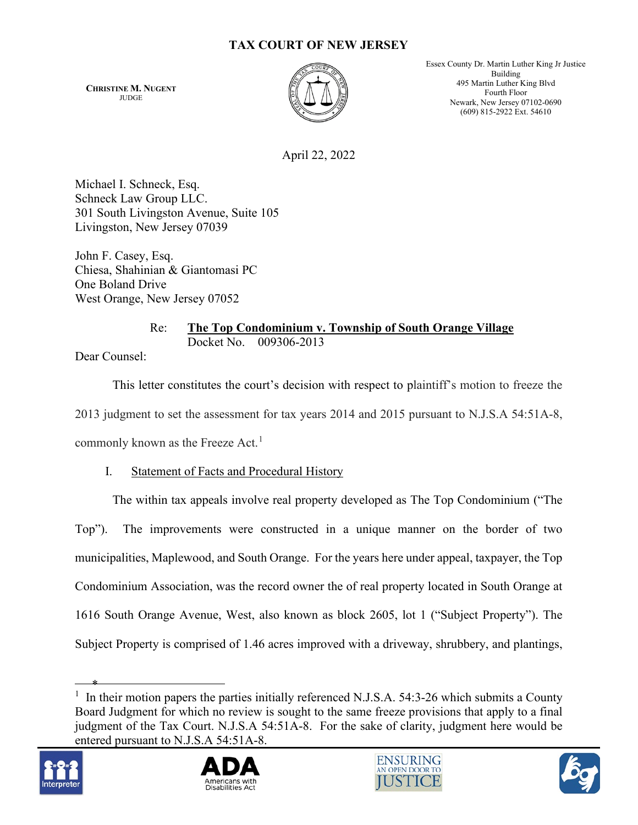## **TAX COURT OF NEW JERSEY**

**CHRISTINE M. NUGENT** JUDGE



Essex County Dr. Martin Luther King Jr Justice Building 495 Martin Luther King Blvd Fourth Floor Newark, New Jersey 07102-0690 (609) 815-2922 Ext. 54610

April 22, 2022

Michael I. Schneck, Esq. Schneck Law Group LLC. 301 South Livingston Avenue, Suite 105 Livingston, New Jersey 07039

John F. Casey, Esq. Chiesa, Shahinian & Giantomasi PC One Boland Drive West Orange, New Jersey 07052

> Re: **The Top Condominium v. Township of South Orange Village**  Docket No. 009306-2013

Dear Counsel:

This letter constitutes the court's decision with respect to plaintiff's motion to freeze the 2013 judgment to set the assessment for tax years 2014 and 2015 pursuant to N.J.S.A 54:51A-8, commonly known as the Freeze Act.<sup>[1](#page-0-0)</sup>

I. Statement of Facts and Procedural History

The within tax appeals involve real property developed as The Top Condominium ("The Top"). The improvements were constructed in a unique manner on the border of two municipalities, Maplewood, and South Orange. For the years here under appeal, taxpayer, the Top Condominium Association, was the record owner the of real property located in South Orange at 1616 South Orange Avenue, West, also known as block 2605, lot 1 ("Subject Property"). The Subject Property is comprised of 1.46 acres improved with a driveway, shrubbery, and plantings,

<span id="page-0-0"></span><sup>\*</sup> <sup>1</sup> In their motion papers the parties initially referenced N.J.S.A. 54:3-26 which submits a County Board Judgment for which no review is sought to the same freeze provisions that apply to a final judgment of the Tax Court. N.J.S.A 54:51A-8. For the sake of clarity, judgment here would be entered pursuant to N.J.S.A 54:51A-8.







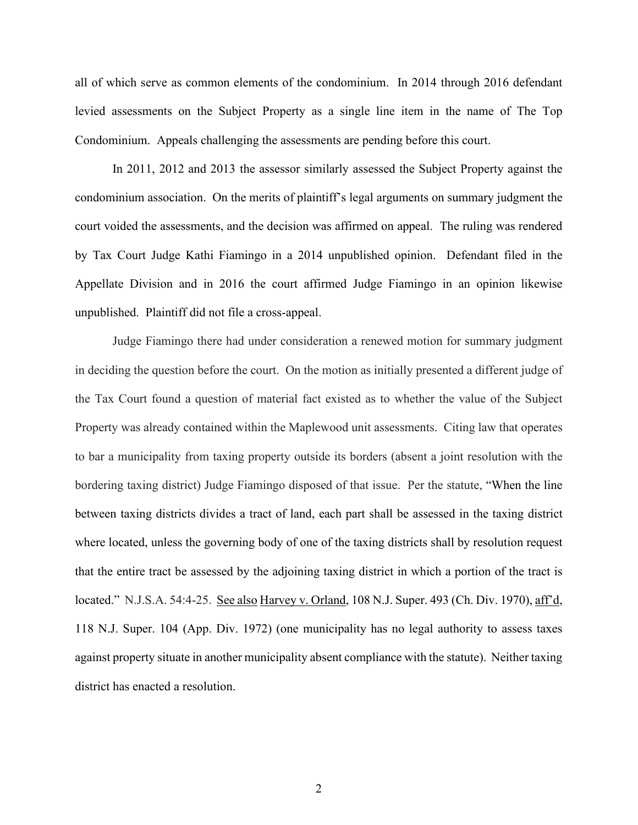all of which serve as common elements of the condominium. In 2014 through 2016 defendant levied assessments on the Subject Property as a single line item in the name of The Top Condominium. Appeals challenging the assessments are pending before this court.

In 2011, 2012 and 2013 the assessor similarly assessed the Subject Property against the condominium association. On the merits of plaintiff's legal arguments on summary judgment the court voided the assessments, and the decision was affirmed on appeal. The ruling was rendered by Tax Court Judge Kathi Fiamingo in a 2014 unpublished opinion. Defendant filed in the Appellate Division and in 2016 the court affirmed Judge Fiamingo in an opinion likewise unpublished. Plaintiff did not file a cross-appeal.

Judge Fiamingo there had under consideration a renewed motion for summary judgment in deciding the question before the court. On the motion as initially presented a different judge of the Tax Court found a question of material fact existed as to whether the value of the Subject Property was already contained within the Maplewood unit assessments. Citing law that operates to bar a municipality from taxing property outside its borders (absent a joint resolution with the bordering taxing district) Judge Fiamingo disposed of that issue. Per the statute, "When the line between taxing districts divides a tract of land, each part shall be assessed in the taxing district where located, unless the governing body of one of the taxing districts shall by resolution request that the entire tract be assessed by the adjoining taxing district in which a portion of the tract is located." N.J.S.A. 54:4-25. See also Harvey v. Orland, 108 N.J. Super. 493 (Ch. Div. 1970), aff'd, 118 N.J. Super. 104 (App. Div. 1972) (one municipality has no legal authority to assess taxes against property situate in another municipality absent compliance with the statute). Neither taxing district has enacted a resolution.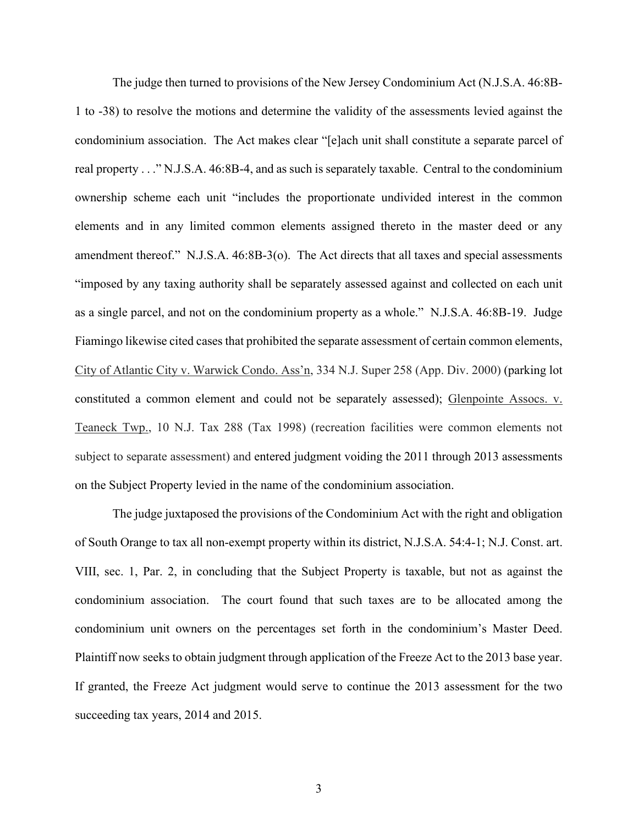The judge then turned to provisions of the New Jersey Condominium Act (N.J.S.A. 46:8B-1 to -38) to resolve the motions and determine the validity of the assessments levied against the condominium association. The Act makes clear "[e]ach unit shall constitute a separate parcel of real property . . ." N.J.S.A. 46:8B-4, and as such is separately taxable. Central to the condominium ownership scheme each unit "includes the proportionate undivided interest in the common elements and in any limited common elements assigned thereto in the master deed or any amendment thereof." N.J.S.A. 46:8B-3(o). The Act directs that all taxes and special assessments "imposed by any taxing authority shall be separately assessed against and collected on each unit as a single parcel, and not on the condominium property as a whole." N.J.S.A. 46:8B-19. Judge Fiamingo likewise cited cases that prohibited the separate assessment of certain common elements, City of Atlantic City v. Warwick Condo. Ass'n, 334 N.J. Super 258 (App. Div. 2000) (parking lot constituted a common element and could not be separately assessed); Glenpointe Assocs. v. Teaneck Twp., 10 N.J. Tax 288 (Tax 1998) (recreation facilities were common elements not subject to separate assessment) and entered judgment voiding the 2011 through 2013 assessments on the Subject Property levied in the name of the condominium association.

 The judge juxtaposed the provisions of the Condominium Act with the right and obligation of South Orange to tax all non-exempt property within its district, N.J.S.A. 54:4-1; N.J. Const. art. VIII, sec. 1, Par. 2, in concluding that the Subject Property is taxable, but not as against the condominium association. The court found that such taxes are to be allocated among the condominium unit owners on the percentages set forth in the condominium's Master Deed. Plaintiff now seeks to obtain judgment through application of the Freeze Act to the 2013 base year. If granted, the Freeze Act judgment would serve to continue the 2013 assessment for the two succeeding tax years, 2014 and 2015.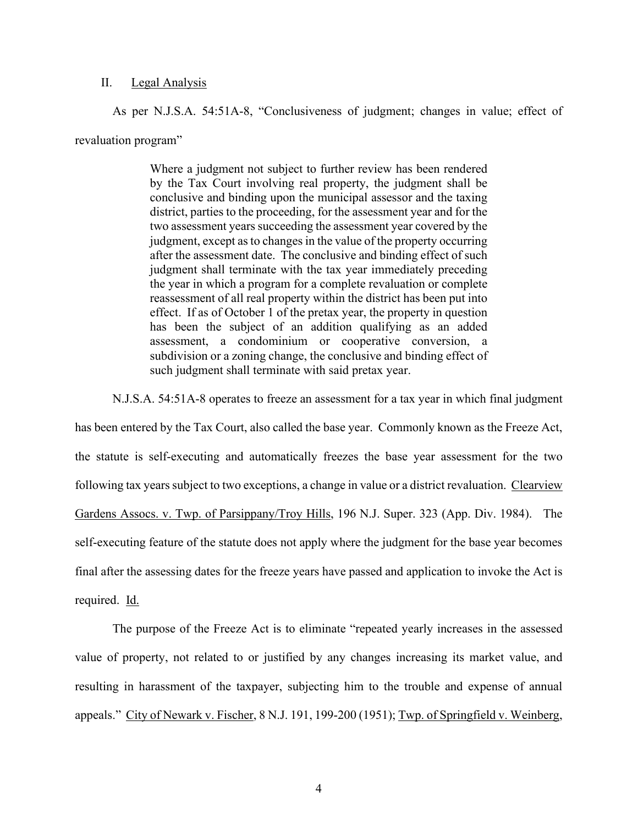## II. Legal Analysis

As per N.J.S.A. 54:51A-8, "Conclusiveness of judgment; changes in value; effect of revaluation program"

> Where a judgment not subject to further review has been rendered by the Tax Court involving real property, the judgment shall be conclusive and binding upon the municipal assessor and the taxing district, parties to the proceeding, for the assessment year and for the two assessment years succeeding the assessment year covered by the judgment, except as to changes in the value of the property occurring after the assessment date. The conclusive and binding effect of such judgment shall terminate with the tax year immediately preceding the year in which a program for a complete revaluation or complete reassessment of all real property within the district has been put into effect. If as of October 1 of the pretax year, the property in question has been the subject of an addition qualifying as an added assessment, a condominium or cooperative conversion, a subdivision or a zoning change, the conclusive and binding effect of such judgment shall terminate with said pretax year.

N.J.S.A. 54:51A-8 operates to freeze an assessment for a tax year in which final judgment

has been entered by the Tax Court, also called the base year. Commonly known as the Freeze Act, the statute is self-executing and automatically freezes the base year assessment for the two following tax years subject to two exceptions, a change in value or a district revaluation. Clearview Gardens Assocs. v. Twp. of Parsippany/Troy Hills, 196 N.J. Super. 323 (App. Div. 1984). The self-executing feature of the statute does not apply where the judgment for the base year becomes final after the assessing dates for the freeze years have passed and application to invoke the Act is required. Id.

The purpose of the Freeze Act is to eliminate "repeated yearly increases in the assessed value of property, not related to or justified by any changes increasing its market value, and resulting in harassment of the taxpayer, subjecting him to the trouble and expense of annual appeals." City of Newark v. Fischer, 8 N.J. 191, 199-200 (1951); Twp. of Springfield v. Weinberg,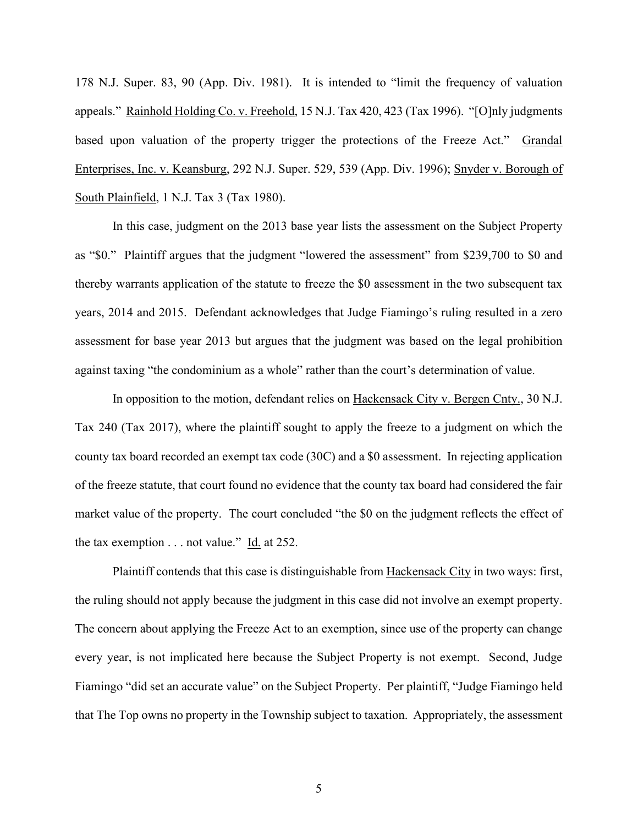178 N.J. Super. 83, 90 (App. Div. 1981). It is intended to "limit the frequency of valuation appeals." Rainhold Holding Co. v. Freehold, 15 N.J. Tax 420, 423 (Tax 1996). "[O]nly judgments based upon valuation of the property trigger the protections of the Freeze Act." Grandal Enterprises, Inc. v. Keansburg, 292 N.J. Super. 529, 539 (App. Div. 1996); Snyder v. Borough of South Plainfield, 1 N.J. Tax 3 (Tax 1980).

 In this case, judgment on the 2013 base year lists the assessment on the Subject Property as "\$0." Plaintiff argues that the judgment "lowered the assessment" from \$239,700 to \$0 and thereby warrants application of the statute to freeze the \$0 assessment in the two subsequent tax years, 2014 and 2015. Defendant acknowledges that Judge Fiamingo's ruling resulted in a zero assessment for base year 2013 but argues that the judgment was based on the legal prohibition against taxing "the condominium as a whole" rather than the court's determination of value.

 In opposition to the motion, defendant relies on Hackensack City v. Bergen Cnty., 30 N.J. Tax 240 (Tax 2017), where the plaintiff sought to apply the freeze to a judgment on which the county tax board recorded an exempt tax code (30C) and a \$0 assessment. In rejecting application of the freeze statute, that court found no evidence that the county tax board had considered the fair market value of the property. The court concluded "the \$0 on the judgment reflects the effect of the tax exemption  $\dots$  not value." Id. at 252.

Plaintiff contends that this case is distinguishable from Hackensack City in two ways: first, the ruling should not apply because the judgment in this case did not involve an exempt property. The concern about applying the Freeze Act to an exemption, since use of the property can change every year, is not implicated here because the Subject Property is not exempt. Second, Judge Fiamingo "did set an accurate value" on the Subject Property. Per plaintiff, "Judge Fiamingo held that The Top owns no property in the Township subject to taxation. Appropriately, the assessment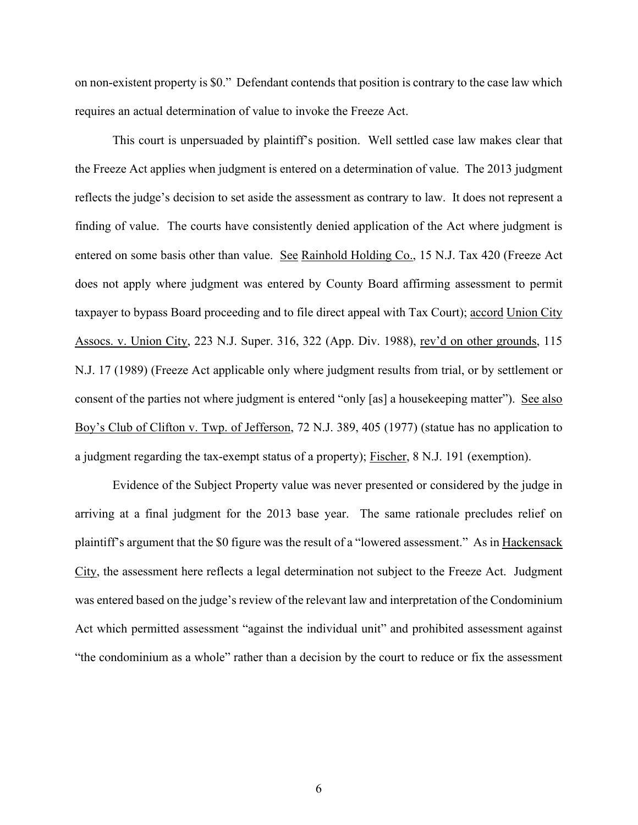on non-existent property is \$0." Defendant contends that position is contrary to the case law which requires an actual determination of value to invoke the Freeze Act.

 This court is unpersuaded by plaintiff's position. Well settled case law makes clear that the Freeze Act applies when judgment is entered on a determination of value. The 2013 judgment reflects the judge's decision to set aside the assessment as contrary to law. It does not represent a finding of value. The courts have consistently denied application of the Act where judgment is entered on some basis other than value. See Rainhold Holding Co., 15 N.J. Tax 420 (Freeze Act does not apply where judgment was entered by County Board affirming assessment to permit taxpayer to bypass Board proceeding and to file direct appeal with Tax Court); accord Union City Assocs. v. Union City, 223 N.J. Super. 316, 322 (App. Div. 1988), rev'd on other grounds, 115 N.J. 17 (1989) (Freeze Act applicable only where judgment results from trial, or by settlement or consent of the parties not where judgment is entered "only [as] a housekeeping matter"). See also Boy's Club of Clifton v. Twp. of Jefferson, 72 N.J. 389, 405 (1977) (statue has no application to a judgment regarding the tax-exempt status of a property); Fischer, 8 N.J. 191 (exemption).

Evidence of the Subject Property value was never presented or considered by the judge in arriving at a final judgment for the 2013 base year. The same rationale precludes relief on plaintiff's argument that the \$0 figure was the result of a "lowered assessment." As in Hackensack City, the assessment here reflects a legal determination not subject to the Freeze Act. Judgment was entered based on the judge's review of the relevant law and interpretation of the Condominium Act which permitted assessment "against the individual unit" and prohibited assessment against "the condominium as a whole" rather than a decision by the court to reduce or fix the assessment